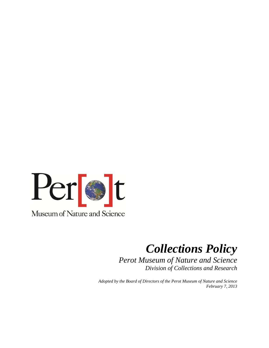

# *Collections Policy*

*Perot Museum of Nature and Science Division of Collections and Research*

*Adopted by the Board of Directors of the Perot Museum of Nature and Science February 7, 2013*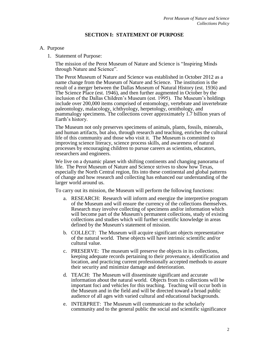#### **SECTION I: STATEMENT OF PURPOSE**

#### A. Purpose

1. Statement of Purpose:

The mission of the Perot Museum of Nature and Science is "Inspiring Minds through Nature and Science".

The Perot Museum of Nature and Science was established in October 2012 as a name change from the Museum of Nature and Science. The institution is the result of a merger between the Dallas Museum of Natural History (est. 1936) and The Science Place (est. 1946), and then further augmented in October by the inclusion of the Dallas Children's Museum (est. 1995). The Museum's holdings include over 200,000 items comprised of entomology, vertebrate and invertebrate paleontology, malacology, ichthyology, herpetology, ornithology, and mammalogy specimens. The collections cover approximately 1.7 billion years of Earth's history.

The Museum not only preserves specimens of animals, plants, fossils, minerals, and human artifacts, but also, through research and teaching, enriches the cultural life of this community and those who visit it. The Museum is committed to improving science literacy, science process skills, and awareness of natural processes by encouraging children to pursue careers as scientists, educators, researchers and engineers.

We live on a dynamic planet with shifting continents and changing panorama of life. The Perot Museum of Nature and Science strives to show how Texas, especially the North Central region, fits into these continental and global patterns of change and how research and collecting has enhanced our understanding of the larger world around us.

To carry out its mission, the Museum will perform the following functions:

- a. RESEARCH: Research will inform and energize the interpretive program of the Museum and will ensure the currency of the collections themselves. Research may involve collecting of specimens and/or information which will become part of the Museum's permanent collections, study of existing collections and studies which will further scientific knowledge in areas defined by the Museum's statement of mission.
- b. COLLECT: The Museum will acquire significant objects representative of the natural world. These objects will have intrinsic scientific and/or cultural value.
- c. PRESERVE: The museum will preserve the objects in its collections, keeping adequate records pertaining to their provenance, identification and location, and practicing current professionally accepted methods to assure their security and minimize damage and deterioration.
- d. TEACH: The Museum will disseminate significant and accurate information about the natural world. Objects from its collections will be important foci and vehicles for this teaching. Teaching will occur both in the Museum and in the field and will be directed toward a broad public audience of all ages with varied cultural and educational backgrounds.
- e. INTERPRET: The Museum will communicate to the scholarly community and to the general public the social and scientific significance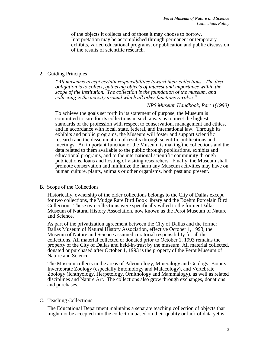of the objects it collects and of those it may choose to borrow. Interpretation may be accomplished through permanent or temporary exhibits, varied educational programs, or publication and public discussion of the results of scientific research.

#### 2. Guiding Principles

*"All museums accept certain responsibilities toward their collections. The first obligation is to collect, gathering objects of interest and importance within the scope of the institution. The collection is the foundation of the museum, and collecting is the activity around which all other functions revolve."*

#### *NPS Museum Handbook, Part 1(1990)*

To achieve the goals set forth in its statement of purpose, the Museum is committed to care for its collections in such a way as to meet the highest standards of the profession with respect to conservation, management and ethics, and in accordance with local, state, federal, and international law. Through its exhibits and public programs, the Museum will foster and support scientific research and the dissemination of results through scientific publications and meetings. An important function of the Museum is making the collections and the data related to them available to the public through publications, exhibits and educational programs, and to the international scientific community through publications, loans and hosting of visiting researchers. Finally, the Museum shall promote conservation and minimize the harm any Museum activities may have on human culture, plants, animals or other organisms, both past and present.

#### B. Scope of the Collections

Historically, ownership of the older collections belongs to the City of Dallas except for two collections, the Mudge Rare Bird Book library and the Boehm Porcelain Bird Collection. These two collections were specifically willed to the former Dallas Museum of Natural History Association, now known as the Perot Museum of Nature and Science.

As part of the privatization agreement between the City of Dallas and the former Dallas Museum of Natural History Association, effective October 1, 1993, the Museum of Nature and Science assumed curatorial responsibility for all the collections. All material collected or donated prior to October 1, 1993 remains the property of the City of Dallas and held-in-trust by the museum. All material collected, donated or purchased after October 1, 1993 is the property of the Perot Museum of Nature and Science.

The Museum collects in the areas of Paleontology, Mineralogy and Geology, Botany, Invertebrate Zoology (especially Entomology and Malacology), and Vertebrate Zoology (Ichthyology, Herpetology, Ornithology and Mammalogy), as well as related disciplines and Nature Art. The collections also grow through exchanges, donations and purchases.

#### C. Teaching Collections

The Educational Department maintains a separate teaching collection of objects that might not be accepted into the collection based on their quality or lack of data yet is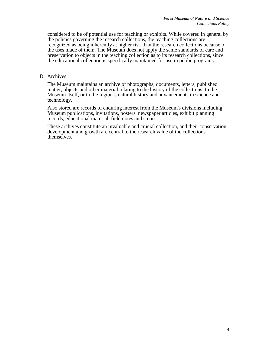considered to be of potential use for teaching or exhibits. While covered in general by the policies governing the research collections, the teaching collections are recognized as being inherently at higher risk than the research collections because of the uses made of them. The Museum does not apply the same standards of care and preservation to objects in the teaching collection as to its research collections, since the educational collection is specifically maintained for use in public programs.

#### D. Archives

The Museum maintains an archive of photographs, documents, letters, published matter, objects and other material relating to the history of the collections, to the Museum itself, or to the region's natural history and advancements in science and technology.

Also stored are records of enduring interest from the Museum's divisions including: Museum publications, invitations, posters, newspaper articles, exhibit planning records, educational material, field notes and so on.

These archives constitute an invaluable and crucial collection, and their conservation, development and growth are central to the research value of the collections themselves.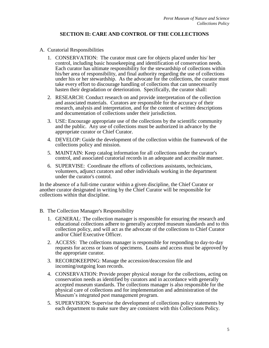# **SECTION II: CARE AND CONTROL OF THE COLLECTIONS**

#### A. Curatorial Responsibilities

- 1. CONSERVATION: The curator must care for objects placed under his/ her control, including basic housekeeping and identification of conservation needs. Each curator has ultimate responsibility for the stewardship of collections within his/her area of responsibility, and final authority regarding the use of collections under his or her stewardship. As the advocate for the collections, the curator must take every effort to discourage handling of collections that can unnecessarily hasten their degradation or deterioration. Specifically, the curator shall:
- 2. RESEARCH: Conduct research on and provide interpretation of the collection and associated materials. Curators are responsible for the accuracy of their research, analysis and interpretation, and for the content of written descriptions and documentation of collections under their jurisdiction.
- 3. USE: Encourage appropriate use of the collections by the scientific community and the public. Any use of collections must be authorized in advance by the appropriate curator or Chief Curator.
- 4. DEVELOP: Guide the development of the collection within the framework of the collections policy and mission.
- 5. MAINTAIN: Keep catalog information for all collections under the curator's control, and associated curatorial records in an adequate and accessible manner.
- 6. SUPERVISE: Coordinate the efforts of collections assistants, technicians, volunteers, adjunct curators and other individuals working in the department under the curator's control.

In the absence of a full-time curator within a given discipline, the Chief Curator or another curator designated in writing by the Chief Curator will be responsible for collections within that discipline.

- B. The Collection Manager's Responsibility
	- 1. GENERAL: The collection manager is responsible for ensuring the research and educational collections adhere to generally accepted museum standards and to this collection policy, and will act as the advocate of the collections to Chief Curator and/or Chief Executive Officer.
	- 2. ACCESS: The collections manager is responsible for responding to day-to-day requests for access or loans of specimens. Loans and access must be approved by the appropriate curator.
	- 3. RECORDKEEPING: Manage the accession/deaccession file and incoming/outgoing loan records.
	- 4. CONSERVATION: Provide proper physical storage for the collections, acting on conservation needs as identified by curators and in accordance with generally accepted museum standards. The collections manager is also responsible for the physical care of collections and for implementation and administration of the Museum's integrated pest management program.
	- 5. SUPERVISION: Supervise the development of collections policy statements by each department to make sure they are consistent with this Collections Policy.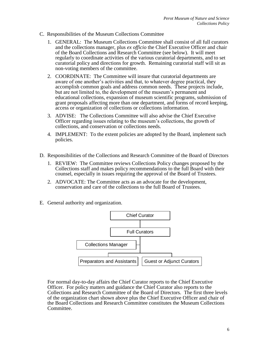- C. Responsibilities of the Museum Collections Committee
	- 1. GENERAL: The Museum Collections Committee shall consist of all full curators and the collections manager, plus *ex officio* the Chief Executive Officer and chair of the Board Collections and Research Committee (see below). It will meet regularly to coordinate activities of the various curatorial departments, and to set curatorial policy and directions for growth. Remaining curatorial staff will sit as non-voting members of the committee.
	- 2. COORDINATE: The Committee will insure that curatorial departments are aware of one another's activities and that, to whatever degree practical, they accomplish common goals and address common needs. These projects include, but are not limited to, the development of the museum's permanent and educational collections, expansion of museum scientific programs, submission of grant proposals affecting more than one department, and forms of record keeping, access or organization of collections or collections information.
	- 3. ADVISE: The Collections Committee will also advise the Chief Executive Officer regarding issues relating to the museum's collections, the growth of collections, and conservation or collections needs.
	- 4. IMPLEMENT: To the extent policies are adopted by the Board, implement such policies.
- D. Responsibilities of the Collections and Research Committee of the Board of Directors
	- 1. REVIEW: The Committee reviews Collections Policy changes proposed by the Collections staff and makes policy recommendations to the full Board with their counsel, especially in issues requiring the approval of the Board of Trustees.
	- 2. ADVOCATE: The Committee acts as an advocate for the development, conservation and care of the collections to the full Board of Trustees.
- E. General authority and organization.



For normal day-to-day affairs the Chief Curator reports to the Chief Executive Officer. For policy matters and guidance the Chief Curator also reports to the Collections and Research Committee of the Board of Directors. The first three levels of the organization chart shown above plus the Chief Executive Officer and chair of the Board Collections and Research Committee constitutes the Museum Collections Committee.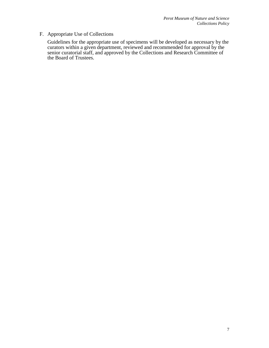# F. Appropriate Use of Collections

Guidelines for the appropriate use of specimens will be developed as necessary by the curators within a given department, reviewed and recommended for approval by the senior curatorial staff, and approved by the Collections and Research Committee of the Board of Trustees.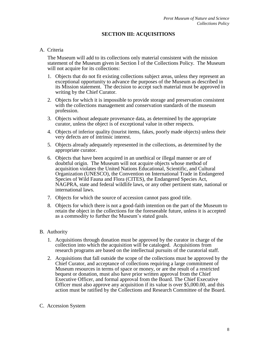# **SECTION III: ACQUISITIONS**

#### A. Criteria

The Museum will add to its collections only material consistent with the mission statement of the Museum given in Section I of the Collections Policy. The Museum will not acquire for its collections:

- 1. Objects that do not fit existing collections subject areas, unless they represent an exceptional opportunity to advance the purposes of the Museum as described in its Mission statement. The decision to accept such material must be approved in writing by the Chief Curator.
- 2. Objects for which it is impossible to provide storage and preservation consistent with the collections management and conservation standards of the museum profession.
- 3. Objects without adequate provenance data, as determined by the appropriate curator, unless the object is of exceptional value in other respects.
- 4. Objects of inferior quality (tourist items, fakes, poorly made objects) unless their very defects are of intrinsic interest.
- 5. Objects already adequately represented in the collections, as determined by the appropriate curator.
- 6. Objects that have been acquired in an unethical or illegal manner or are of doubtful origin. The Museum will not acquire objects whose method of acquisition violates the United Nations Educational, Scientific, and Cultural Organization (UNESCO), the Convention on International Trade in Endangered Species of Wild Fauna and Flora (CITES), the Endangered Species Act, NAGPRA, state and federal wildlife laws, or any other pertinent state, national or international laws.
- 7. Objects for which the source of accession cannot pass good title.
- 8. Objects for which there is not a good-faith intention on the part of the Museum to retain the object in the collections for the foreseeable future, unless it is accepted as a commodity to further the Museum's stated goals.

#### B. Authority

- 1. Acquisitions through donation must be approved by the curator in charge of the collection into which the acquisition will be cataloged. Acquisitions from research programs are based on the intellectual pursuits of the curatorial staff.
- 2. Acquisitions that fall outside the scope of the collections must be approved by the Chief Curator, and acceptance of collections requiring a large commitment of Museum resources in terms of space or money, or are the result of a restricted bequest or donation, must also have prior written approval from the Chief Executive Officer, and formal approval from the Board. The Chief Executive Officer must also approve any acquisition if its value is over \$5,000.00, and this action must be ratified by the Collections and Research Committee of the Board.

#### C. Accession System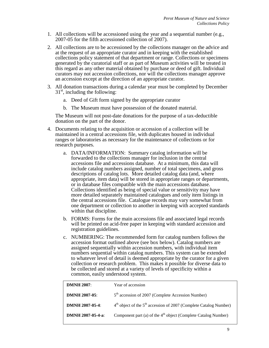- 1. All collections will be accessioned using the year and a sequential number (e.g., 2007-05 for the fifth accessioned collection of 2007).
- 2. All collections are to be accessioned by the collections manager on the advice and at the request of an appropriate curator and in keeping with the established collections policy statement of that department or range. Collections or specimens generated by the curatorial staff or as part of Museum activities will be treated in this regard as any other material obtained by purchase or deed of gift. Individual curators may not accession collections, nor will the collections manager approve an accession except at the direction of an appropriate curator.
- 3. All donation transactions during a calendar year must be completed by December  $31<sup>st</sup>$ , including the following:
	- a. Deed of Gift form signed by the appropriate curator
	- b. The Museum must have possession of the donated material.

The Museum will not post-date donations for the purpose of a tax-deductible donation on the part of the donor.

- 4. Documents relating to the acquisition or accession of a collection will be maintained in a central accessions file, with duplicates housed in individual ranges or laboratories as necessary for the maintenance of collections or for research purposes.
	- a. DATA/INFORMATION: Summary catalog information will be forwarded to the collections manager for inclusion in the central accessions file and accessions database. At a minimum, this data will include catalog numbers assigned, number of total specimens, and gross descriptions of catalog lots. More detailed catalog data (and, where appropriate, item data) will be stored in appropriate ranges or departments, or in database files compatible with the main accessions database. Collections identified as being of special value or sensitivity may have more detailed separately maintained catalogues and only item listings in the central accessions file. Catalogue records may vary somewhat from one department or collection to another in keeping with accepted standards within that discipline.
	- b. FORMS: Forms for the main accessions file and associated legal records will be printed on acid-free paper in keeping with standard accession and registration guidelines.
	- c. NUMBERING: The recommended form for catalog numbers follows the accession format outlined above (see box below). Catalog numbers are assigned sequentially within accession numbers, with individual item numbers sequential within catalog numbers. This system can be extended to whatever level of detail is deemed appropriate by the curator for a given collection or research problem. This makes it possible for diverse data to be collected and stored at a variety of levels of specificity within a common, easily understood system.

| <b>DMNH 2007:</b>        | Year of accession                                                          |
|--------------------------|----------------------------------------------------------------------------|
| <b>DMNH 2007-05:</b>     | 5 <sup>th</sup> accession of 2007 (Complete Accession Number)              |
| <b>DMNH 2007-05-4:</b>   | $4th$ object of the $5th$ accession of 2007 (Complete Catalog Number)      |
| <b>DMNH 2007-05-4-a:</b> | Component part (a) of the 4 <sup>th</sup> object (Complete Catalog Number) |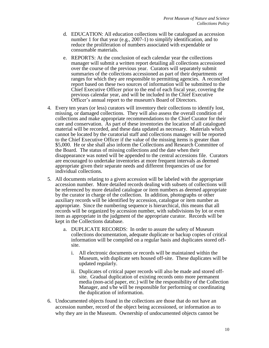- d. EDUCATION: All education collections will be catalogued as accession number 1 for that year (e.g., 2007-1) to simplify identification, and to reduce the proliferation of numbers associated with expendable or consumable materials.
- e. REPORTS: At the conclusion of each calendar year the collections manager will submit a written report detailing all collections accessioned over the course of the previous year. Curators will separately submit summaries of the collections accessioned as part of their departments or ranges for which they are responsible to permitting agencies. A reconciled report based on these two sources of information will be submitted to the Chief Executive Officer prior to the end of each fiscal year, covering the previous calendar year, and will be included in the Chief Executive Officer's annual report to the museum's Board of Directors.
- 4. Every ten years (or less) curators will inventory their collections to identify lost, missing, or damaged collections. They will also assess the overall condition of collections and make appropriate recommendations to the Chief Curator for their care and conservation. As part of these inventories the location of all catalogued material will be recorded, and these data updated as necessary. Materials which cannot be located by the curatorial staff and collections manager will be reported to the Chief Executive Officer if the value of the missing items is greater than \$5,000. He or she shall also inform the Collections and Research Committee of the Board. The status of missing collections and the date when their disappearance was noted will be appended to the central accessions file. Curators are encouraged to undertake inventories at more frequent intervals as deemed appropriate given their separate needs and different frequencies of use for individual collections.
- 5. All documents relating to a given accession will be labeled with the appropriate accession number. More detailed records dealing with subsets of collections will be referenced by more detailed catalogue or item numbers as deemed appropriate by the curator in charge of the collection. In addition, photographs or other auxiliary records will be identified by accession, catalogue or item number as appropriate. Since the numbering sequence is hierarchical, this means that all records will be organized by accession number, with subdivisions by lot or even item as appropriate in the judgment of the appropriate curator. Records will be kept in the Collections database.
	- a. DUPLICATE RECORDS: In order to assure the safety of Museum collections documentation, adequate duplicate or backup copies of critical information will be compiled on a regular basis and duplicates stored offsite.
		- i. All electronic documents or records will be maintained within the Museum, with duplicate sets housed off-site. These duplicates will be updated regularly.
		- ii. Duplicates of critical paper records will also be made and stored offsite. Gradual duplication of existing records onto more permanent media (non-acid paper, etc.) will be the responsibility of the Collection Manager, and s/he will be responsible for performing or coordinating the duplication of information.
- 6. Undocumented objects found in the collections are those that do not have an accession number, record of the object being accessioned, or information as to why they are in the Museum. Ownership of undocumented objects cannot be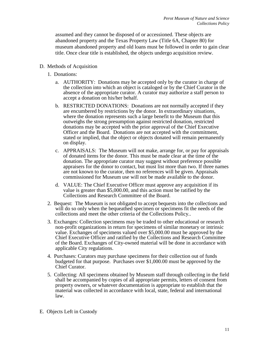assumed and they cannot be disposed of or accessioned. These objects are abandoned property and the Texas Property Law (Title 6A, Chapter 80) for museum abandoned property and old loans must be followed in order to gain clear title. Once clear title is established, the objects undergo acquisition review.

- D. Methods of Acquisition
	- 1. Donations:
		- a. AUTHORITY: Donations may be accepted only by the curator in charge of the collection into which an object is cataloged or by the Chief Curator in the absence of the appropriate curator. A curator may authorize a staff person to accept a donation on his/her behalf.
		- b. RESTRICTED DONATIONS: Donations are not normally accepted if they are encumbered by restrictions by the donor. In extraordinary situations, where the donation represents such a large benefit to the Museum that this outweighs the strong presumption against restricted donation, restricted donations may be accepted with the prior approval of the Chief Executive Officer and the Board. Donations are not accepted with the commitment, stated or implied, that the object or objects donated will remain permanently on display.
		- c. APPRAISALS: The Museum will not make, arrange for, or pay for appraisals of donated items for the donor. This must be made clear at the time of the donation. The appropriate curator may suggest without preference possible appraisers for the donor to contact, but must list more than two. If three names are not known to the curator, then no references will be given. Appraisals commissioned for Museum use will not be made available to the donor.
		- d. VALUE: The Chief Executive Officer must approve any acquisition if its value is greater than \$5,000.00, and this action must be ratified by the Collections and Research Committee of the Board.
	- 2. Bequest: The Museum is not obligated to accept bequests into the collections and will do so only when the bequeathed specimen or specimens fit the needs of the collections and meet the other criteria of the Collections Policy..
	- 3. Exchanges: Collection specimens may be traded to other educational or research non-profit organizations in return for specimens of similar monetary or intrinsic value. Exchanges of specimens valued over \$5,000.00 must be approved by the Chief Executive Officer and ratified by the Collections and Research Committee of the Board. Exchanges of City-owned material will be done in accordance with applicable City regulations.
	- 4. Purchases: Curators may purchase specimens for their collection out of funds budgeted for that purpose. Purchases over \$1,000.00 must be approved by the Chief Curator.
	- 5. Collecting: All specimens obtained by Museum staff through collecting in the field shall be accompanied by copies of all appropriate permits, letters of consent from property owners, or whatever documentation is appropriate to establish that the material was collected in accordance with local, state, federal and international law.
- E. Objects Left in Custody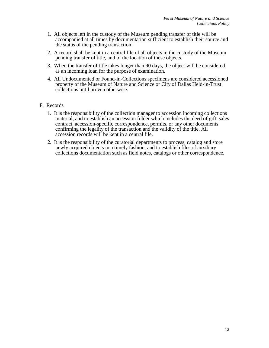- 1. All objects left in the custody of the Museum pending transfer of title will be accompanied at all times by documentation sufficient to establish their source and the status of the pending transaction.
- 2. A record shall be kept in a central file of all objects in the custody of the Museum pending transfer of title, and of the location of these objects.
- 3. When the transfer of title takes longer than 90 days, the object will be considered as an incoming loan for the purpose of examination.
- 4. All Undocumented or Found-in-Collections specimens are considered accessioned property of the Museum of Nature and Science or City of Dallas Held-in-Trust collections until proven otherwise.

## F. Records

- 1. It is the responsibility of the collection manager to accession incoming collections material, and to establish an accession folder which includes the deed of gift, sales contract, accession-specific correspondence, permits, or any other documents confirming the legality of the transaction and the validity of the title. All accession records will be kept in a central file.
- 2. It is the responsibility of the curatorial departments to process, catalog and store newly acquired objects in a timely fashion, and to establish files of auxiliary collections documentation such as field notes, catalogs or other correspondence.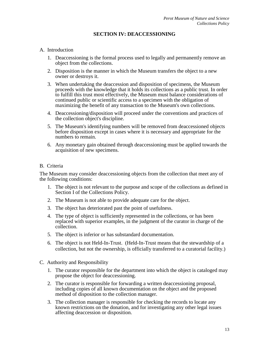# **SECTION IV: DEACCESSIONING**

#### A. Introduction

- 1. Deaccessioning is the formal process used to legally and permanently remove an object from the collections.
- 2. Disposition is the manner in which the Museum transfers the object to a new owner or destroys it.
- 3. When undertaking the deaccession and disposition of specimens, the Museum proceeds with the knowledge that it holds its collections as a public trust. In order to fulfill this trust most effectively, the Museum must balance considerations of continued public or scientific access to a specimen with the obligation of maximizing the benefit of any transaction to the Museum's own collections.
- 4. Deaccessioning/disposition will proceed under the conventions and practices of the collection object's discipline.
- 5. The Museum's identifying numbers will be removed from deaccessioned objects before disposition except in cases where it is necessary and appropriate for the numbers to remain.
- 6. Any monetary gain obtained through deaccessioning must be applied towards the acquisition of new specimens.

#### B. Criteria

The Museum may consider deaccessioning objects from the collection that meet any of the following conditions:

- 1. The object is not relevant to the purpose and scope of the collections as defined in Section I of the Collections Policy.
- 2. The Museum is not able to provide adequate care for the object.
- 3. The object has deteriorated past the point of usefulness.
- 4. The type of object is sufficiently represented in the collections, or has been replaced with superior examples, in the judgment of the curator in charge of the collection.
- 5. The object is inferior or has substandard documentation.
- 6. The object is not Held-In-Trust. (Held-In-Trust means that the stewardship of a collection, but not the ownership, is officially transferred to a curatorial facility.)
- C. Authority and Responsibility
	- 1. The curator responsible for the department into which the object is cataloged may propose the object for deaccessioning.
	- 2. The curator is responsible for forwarding a written deaccessioning proposal, including copies of all known documentation on the object and the proposed method of disposition to the collection manager.
	- 3. The collection manager is responsible for checking the records to locate any known restrictions on the donation, and for investigating any other legal issues affecting deaccession or disposition.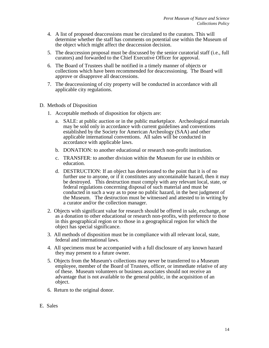- 4. A list of proposed deaccessions must be circulated to the curators. This will determine whether the staff has comments on potential use within the Museum of the object which might affect the deaccession decision.
- 5. The deaccession proposal must be discussed by the senior curatorial staff (i.e., full curators) and forwarded to the Chief Executive Officer for approval.
- 6. The Board of Trustees shall be notified in a timely manner of objects or collections which have been recommended for deaccessioning. The Board will approve or disapprove all deaccessions.
- 7. The deaccessioning of city property will be conducted in accordance with all applicable city regulations.
- D. Methods of Disposition
	- 1. Acceptable methods of disposition for objects are:
		- a. SALE: at public auction or in the public marketplace. Archeological materials may be sold only in accordance with current guidelines and conventions established by the Society for American Archeology (SAA) and other applicable international conventions. All sales will be conducted in accordance with applicable laws.
		- b. DONATION: to another educational or research non-profit institution.
		- c. TRANSFER: to another division within the Museum for use in exhibits or education.
		- d. DESTRUCTION: If an object has deteriorated to the point that it is of no further use to anyone, or if it constitutes any uncontainable hazard, then it may be destroyed. This destruction must comply with any relevant local, state, or federal regulations concerning disposal of such material and must be conducted in such a way as to pose no public hazard, in the best judgment of the Museum. The destruction must be witnessed and attested to in writing by a curator and/or the collection manager.
	- 2. Objects with significant value for research should be offered in sale, exchange, or as a donation to other educational or research non-profits, with preference to those in this geographical region or to those in a geographical region for which the object has special significance.
	- 3. All methods of disposition must be in compliance with all relevant local, state, federal and international laws.
	- 4. All specimens must be accompanied with a full disclosure of any known hazard they may present to a future owner.
	- 5. Objects from the Museum's collections may never be transferred to a Museum employee, member of the Board of Trustees, officer, or immediate relative of any of these. Museum volunteers or business associates should not receive an advantage that is not available to the general public, in the acquisition of an object.
	- 6. Return to the original donor.
- E. Sales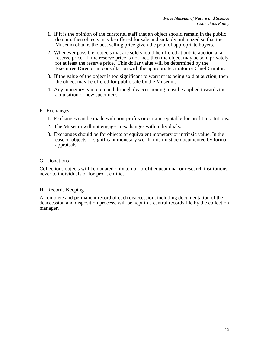- 1. If it is the opinion of the curatorial staff that an object should remain in the public domain, then objects may be offered for sale and suitably publicized so that the Museum obtains the best selling price given the pool of appropriate buyers.
- 2. Whenever possible, objects that are sold should be offered at public auction at a reserve price. If the reserve price is not met, then the object may be sold privately for at least the reserve price. This dollar value will be determined by the Executive Director in consultation with the appropriate curator or Chief Curator.
- 3. If the value of the object is too significant to warrant its being sold at auction, then the object may be offered for public sale by the Museum.
- 4. Any monetary gain obtained through deaccessioning must be applied towards the acquisition of new specimens.

## F. Exchanges

- 1. Exchanges can be made with non-profits or certain reputable for-profit institutions.
- 2. The Museum will not engage in exchanges with individuals.
- 3. Exchanges should be for objects of equivalent monetary or intrinsic value. In the case of objects of significant monetary worth, this must be documented by formal appraisals.

## G. Donations

Collections objects will be donated only to non-profit educational or research institutions, never to individuals or for-profit entities.

## H. Records Keeping

A complete and permanent record of each deaccession, including documentation of the deaccession and disposition process, will be kept in a central records file by the collection manager.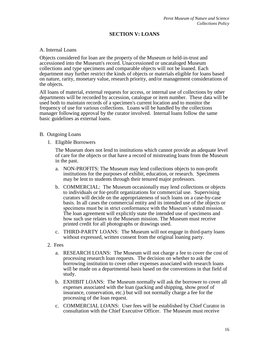# **SECTION V: LOANS**

#### A. Internal Loans

Objects considered for loan are the property of the Museum or held-in-trust and accessioned into the Museum's record. Unaccessioned or uncataloged Museum collections and type specimens and comparable objects will not be loaned. Each department may further restrict the kinds of objects or materials eligible for loans based on nature, rarity, monetary value, research priority, and/or management considerations of the objects.

All loans of material, external requests for access, or internal use of collections by other departments will be recorded by accession, catalogue or item number. These data will be used both to maintain records of a specimen's current location and to monitor the frequency of use for various collections. Loans will be handled by the collections manager following approval by the curator involved. Internal loans follow the same basic guidelines as external loans.

#### B. Outgoing Loans

1. Eligible Borrowers

The Museum does not lend to institutions which cannot provide an adequate level of care for the objects or that have a record of mistreating loans from the Museum in the past.

- a. NON-PROFITS: The Museum may lend collections objects to non-profit institutions for the purposes of exhibit, education, or research. Specimens may be lent to students through their tenured major professors.
- b. COMMERCIAL: The Museum occasionally may lend collections or objects to individuals or for-profit organizations for commercial use. Supervising curators will decide on the appropriateness of such loans on a case-by-case basis. In all cases the commercial entity and its intended use of the objects or specimens must be in strict conformance with the Museum's stated mission. The loan agreement will explicitly state the intended use of specimens and how such use relates to the Museum mission. The Museum must receive printed credit for all photographs or drawings used.
- c. THIRD-PARTY LOANS: The Museum will not engage in third-party loans without expressed, written consent from the original loaning party.
- 2. Fees
	- a. RESEARCH LOANS: The Museum will not charge a fee to cover the cost of processing research loan requests. The decision on whether to ask the borrowing institution to cover other expenses associated with research loans will be made on a departmental basis based on the conventions in that field of study.
	- b. EXHIBIT LOANS: The Museum normally will ask the borrower to cover all expenses associated with the loan (packing and shipping, show proof of insurance, conservation, etc.) but will not normally charge a fee for the processing of the loan request.
	- c. COMMERCIAL LOANS: User fees will be established by Chief Curator in consultation with the Chief Executive Officer. The Museum must receive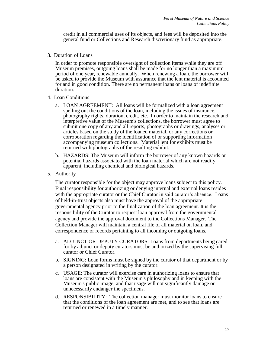credit in all commercial uses of its objects, and fees will be deposited into the general fund or Collections and Research discretionary fund as appropriate.

3. Duration of Loans

In order to promote responsible oversight of collection items while they are off Museum premises, outgoing loans shall be made for no longer than a maximum period of one year, renewable annually. When renewing a loan, the borrower will be asked to provide the Museum with assurance that the lent material is accounted for and in good condition. There are no permanent loans or loans of indefinite duration.

- 4. Loan Conditions
	- a. LOAN AGREEMENT: All loans will be formalized with a loan agreement spelling out the conditions of the loan, including the issues of insurance, photography rights, duration, credit, etc. In order to maintain the research and interpretive value of the Museum's collections, the borrower must agree to submit one copy of any and all reports, photographs or drawings, analyses or articles based on the study of the loaned material, or any corrections or corroboration regarding the identification of or supporting information accompanying museum collections. Material lent for exhibits must be returned with photographs of the resulting exhibit.
	- b. HAZARDS: The Museum will inform the borrower of any known hazards or potential hazards associated with the loan material which are not readily apparent, including chemical and biological hazards.
- 5. Authority

The curator responsible for the object may approve loans subject to this policy. Final responsibility for authorizing or denying internal and external loans resides with the appropriate curator or the Chief Curator in said curator's absence. Loans of held-in-trust objects also must have the approval of the appropriate governmental agency prior to the finalization of the loan agreement. It is the responsibility of the Curator to request loan approval from the governmental agency and provide the approval document to the Collections Manager. The Collection Manager will maintain a central file of all material on loan, and correspondence or records pertaining to all incoming or outgoing loans.

- a. ADJUNCT OR DEPUTY CURATORS: Loans from departments being cared for by adjunct or deputy curators must be authorized by the supervising full curator or Chief Curator.
- b. SIGNING: Loan forms must be signed by the curator of that department or by a person designated in writing by the curator.
- c. USAGE: The curator will exercise care in authorizing loans to ensure that loans are consistent with the Museum's philosophy and in keeping with the Museum's public image, and that usage will not significantly damage or unnecessarily endanger the specimens.
- d. RESPONSIBILITY: The collection manager must monitor loans to ensure that the conditions of the loan agreement are met, and to see that loans are returned or renewed in a timely manner.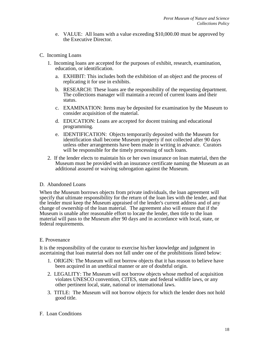- e. VALUE: All loans with a value exceeding \$10,000.00 must be approved by the Executive Director.
- C. Incoming Loans
	- 1. Incoming loans are accepted for the purposes of exhibit, research, examination, education, or identification.
		- a. EXHIBIT: This includes both the exhibition of an object and the process of replicating it for use in exhibits.
		- b. RESEARCH: These loans are the responsibility of the requesting department. The collections manager will maintain a record of current loans and their status.
		- c. EXAMINATION: Items may be deposited for examination by the Museum to consider acquisition of the material.
		- d. EDUCATION: Loans are accepted for docent training and educational programming.
		- e. IDENTIFICATION: Objects temporarily deposited with the Museum for identification shall become Museum property if not collected after 90 days unless other arrangements have been made in writing in advance. Curators will be responsible for the timely processing of such loans.
	- 2. If the lender elects to maintain his or her own insurance on loan material, then the Museum must be provided with an insurance certificate naming the Museum as an additional assured or waiving subrogation against the Museum.

## D. Abandoned Loans

When the Museum borrows objects from private individuals, the loan agreement will specify that ultimate responsibility for the return of the loan lies with the lender, and that the lender must keep the Museum appraised of the lender's current address and of any change of ownership of the loan material. The agreement also will ensure that if the Museum is unable after reasonable effort to locate the lender, then title to the loan material will pass to the Museum after 90 days and in accordance with local, state, or federal requirements.

## E. Provenance

It is the responsibility of the curator to exercise his/her knowledge and judgment in ascertaining that loan material does not fall under one of the prohibitions listed below:

- 1. ORIGIN: The Museum will not borrow objects that it has reason to believe have been acquired in an unethical manner or are of doubtful origin.
- 2. LEGALITY: The Museum will not borrow objects whose method of acquisition violates UNESCO convention, CITES, state and federal wildlife laws, or any other pertinent local, state, national or international laws.
- 3. TITLE: The Museum will not borrow objects for which the lender does not hold good title.

## F. Loan Conditions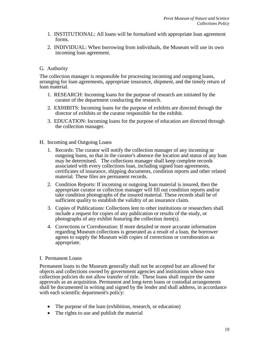- 1. INSTITUTIONAL: All loans will be formalized with appropriate loan agreement forms.
- 2. INDIVIDUAL: When borrowing from individuals, the Museum will use its own incoming loan agreement.

# G. Authority

The collection manager is responsible for processing incoming and outgoing loans, arranging for loan agreements, appropriate insurance, shipment, and the timely return of loan material.

- 1. RESEARCH: Incoming loans for the purpose of research are initiated by the curator of the department conducting the research.
- 2. EXHIBITS: Incoming loans for the purpose of exhibits are directed through the director of exhibits or the curator responsible for the exhibit.
- 3. EDUCATION: Incoming loans for the purpose of education are directed through the collection manager.

## H. Incoming and Outgoing Loans

- 1. Records: The curator will notify the collection manager of any incoming or outgoing loans, so that in the curator's absence the location and status of any loan may be determined. The collections manager shall keep complete records associated with every collections loan, including signed loan agreements, certificates of insurance, shipping documents, condition reports and other related material. These files are permanent records.
- 2. Condition Reports: If incoming or outgoing loan material is insured, then the appropriate curator or collection manager will fill out condition reports and/or take condition photographs of the insured material. These records shall be of sufficient quality to establish the validity of an insurance claim.
- 3. Copies of Publications: Collections lent to other institutions or researchers shall include a request for copies of any publication or results of the study, or photographs of any exhibit featuring the collection item(s).
- 4. Corrections or Corroboration: If more detailed or more accurate information regarding Museum collections is generated as a result of a loan, the borrower agrees to supply the Museum with copies of corrections or corroboration as appropriate.

## I. Permanent Loans

Permanent loans to the Museum generally shall not be accepted but are allowed for objects and collections owned by government agencies and institutions whose own collection policies do not allow transfer of title. These loans shall require the same approvals as an acquisition. Permanent and long-term loans or custodial arrangements shall be documented in writing and signed by the lender and shall address, in accordance with each scientific department's policy:

- The purpose of the loan (exhibition, research, or education)
- The rights to use and publish the material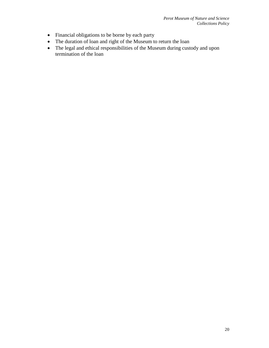- Financial obligations to be borne by each party
- The duration of loan and right of the Museum to return the loan
- The legal and ethical responsibilities of the Museum during custody and upon termination of the loan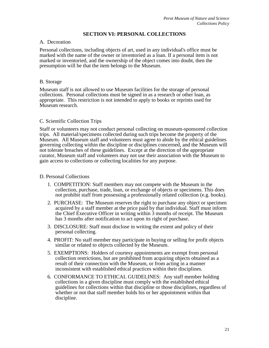## **SECTION VI: PERSONAL COLLECTIONS**

#### A. Decoration

Personal collections, including objects of art, used in any individual's office must be marked with the name of the owner or inventoried as a loan. If a personal item is not marked or inventoried, and the ownership of the object comes into doubt, then the presumption will be that the item belongs to the Museum.

#### B. Storage

Museum staff is not allowed to use Museum facilities for the storage of personal collections. Personal collections must be signed in as a research or other loan, as appropriate. This restriction is not intended to apply to books or reprints used for Museum research.

## C. Scientific Collection Trips

Staff or volunteers may not conduct personal collecting on museum-sponsored collection trips. All material/specimens collected during such trips become the property of the Museum. All Museum staff and volunteers must agree to abide by the ethical guidelines governing collecting within the discipline or disciplines concerned, and the Museum will not tolerate breaches of these guidelines. Except at the direction of the appropriate curator, Museum staff and volunteers may not use their association with the Museum to gain access to collections or collecting localities for any purpose.

#### D. Personal Collections

- 1. COMPETITION: Staff members may not compete with the Museum in the collection, purchase, trade, loan, or exchange of objects or specimens. This does not prohibit staff from possessing a professionally related collection (e.g. books).
- 2. PURCHASE: The Museum reserves the right to purchase any object or specimen acquired by a staff member at the price paid by that individual. Staff must inform the Chief Executive Officer in writing within 3 months of receipt. The Museum has 3 months after notification to act upon its right of purchase.
- 3. DISCLOSURE: Staff must disclose in writing the extent and policy of their personal collecting.
- 4. PROFIT: No staff member may participate in buying or selling for profit objects similar or related to objects collected by the Museum.
- 5. EXEMPTIONS: Holders of courtesy appointments are exempt from personal collection restrictions, but are prohibited from acquiring objects obtained as a result of their connection with the Museum, or from acting in a manner inconsistent with established ethical practices within their disciplines.
- 6. CONFORMANCE TO ETHICAL GUIDELINES: Any staff member holding collections in a given discipline must comply with the established ethical guidelines for collections within that discipline or those disciplines, regardless of whether or not that staff member holds his or her appointment within that discipline.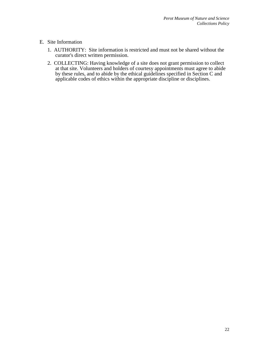# E. Site Information

- 1. AUTHORITY: Site information is restricted and must not be shared without the curator's direct written permission.
- 2. COLLECTING: Having knowledge of a site does not grant permission to collect at that site. Volunteers and holders of courtesy appointments must agree to abide by these rules, and to abide by the ethical guidelines specified in Section C and applicable codes of ethics within the appropriate discipline or disciplines.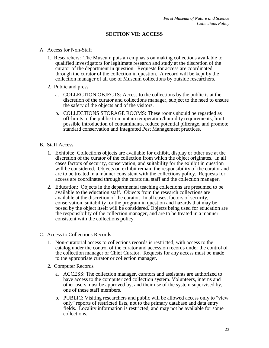# **SECTION VII: ACCESS**

#### A. Access for Non-Staff

- 1. Researchers: The Museum puts an emphasis on making collections available to qualified investigators for legitimate research and study at the discretion of the curator of the department in question. Requests for access are coordinated through the curator of the collection in question. A record will be kept by the collection manager of all use of Museum collections by outside researchers.
- 2. Public and press
	- a. COLLECTION OBJECTS: Access to the collections by the public is at the discretion of the curator and collections manager, subject to the need to ensure the safety of the objects and of the visitors.
	- b. COLLECTIONS STORAGE ROOMS: These rooms should be regarded as off-limits to the public to maintain temperature/humidity requirements, limit possible introduction of contaminants, reduce potential pilferage, and promote standard conservation and Integrated Pest Management practices.

#### B. Staff Access

- 1. Exhibits: Collections objects are available for exhibit, display or other use at the discretion of the curator of the collection from which the object originates. In all cases factors of security, conservation, and suitability for the exhibit in question will be considered. Objects on exhibit remain the responsibility of the curator and are to be treated in a manner consistent with the collections policy. Requests for access are coordinated through the curatorial staff and the collection manager.
- 2. Education: Objects in the departmental teaching collections are presumed to be available to the education staff. Objects from the research collections are available at the discretion of the curator. In all cases, factors of security, conservation, suitability for the program in question and hazards that may be posed by the object itself will be considered. Objects being used for education are the responsibility of the collection manager, and are to be treated in a manner consistent with the collections policy.
- C. Access to Collections Records
	- 1. Non-curatorial access to collections records is restricted, with access to the catalog under the control of the curator and accession records under the control of the collection manager or Chief Curator. Requests for any access must be made to the appropriate curator or collection manager.
	- 2. Computer Records
		- a. ACCESS: The collection manager, curators and assistants are authorized to have access to the computerized collection system. Volunteers, interns and other users must be approved by, and their use of the system supervised by, one of these staff members.
		- b. PUBLIC: Visiting researchers and public will be allowed access only to "view only" reports of restricted lists, not to the primary database and data entry fields. Locality information is restricted, and may not be available for some collections.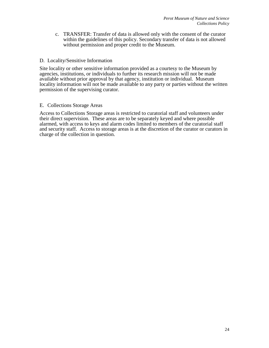c. TRANSFER: Transfer of data is allowed only with the consent of the curator within the guidelines of this policy. Secondary transfer of data is not allowed without permission and proper credit to the Museum.

#### D. Locality/Sensitive Information

Site locality or other sensitive information provided as a courtesy to the Museum by agencies, institutions, or individuals to further its research mission will not be made available without prior approval by that agency, institution or individual. Museum locality information will not be made available to any party or parties without the written permission of the supervising curator.

#### E. Collections Storage Areas

Access to Collections Storage areas is restricted to curatorial staff and volunteers under their direct supervision. These areas are to be separately keyed and where possible alarmed, with access to keys and alarm codes limited to members of the curatorial staff and security staff. Access to storage areas is at the discretion of the curator or curators in charge of the collection in question.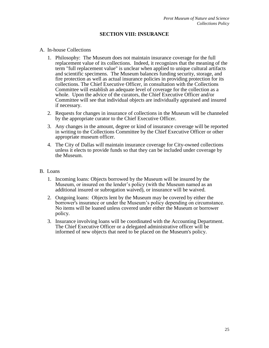## **SECTION VIII: INSURANCE**

#### A. In-house Collections

- 1. Philosophy: The Museum does not maintain insurance coverage for the full replacement value of its collections. Indeed, it recognizes that the meaning of the term "full replacement value" is unclear when applied to unique cultural artifacts and scientific specimens. The Museum balances funding security, storage, and fire protection as well as actual insurance policies in providing protection for its collections. The Chief Executive Officer, in consultation with the Collections Committee will establish an adequate level of coverage for the collection as a whole. Upon the advice of the curators, the Chief Executive Officer and/or Committee will see that individual objects are individually appraised and insured if necessary.
- 2. Requests for changes in insurance of collections in the Museum will be channeled by the appropriate curator to the Chief Executive Officer.
- 3. Any changes in the amount, degree or kind of insurance coverage will be reported in writing to the Collections Committee by the Chief Executive Officer or other appropriate museum officer.
- 4. The City of Dallas will maintain insurance coverage for City-owned collections unless it elects to provide funds so that they can be included under coverage by the Museum.

#### B. Loans

- 1. Incoming loans: Objects borrowed by the Museum will be insured by the Museum, or insured on the lender's policy (with the Museum named as an additional insured or subrogation waived), or insurance will be waived.
- 2. Outgoing loans: Objects lent by the Museum may be covered by either the borrower's insurance or under the Museum's policy depending on circumstance. No items will be loaned unless covered under either the Museum or borrower policy.
- 3. Insurance involving loans will be coordinated with the Accounting Department. The Chief Executive Officer or a delegated administrative officer will be informed of new objects that need to be placed on the Museum's policy.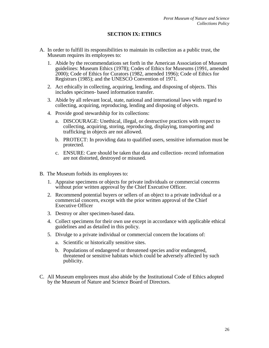# **SECTION IX: ETHICS**

- A. In order to fulfill its responsibilities to maintain its collection as a public trust, the Museum requires its employees to:
	- 1. Abide by the recommendations set forth in the American Association of Museum guidelines: Museum Ethics (1978); Codes of Ethics for Museums (1991, amended 2000); Code of Ethics for Curators (1982, amended 1996); Code of Ethics for Registrars (1985); and the UNESCO Convention of 1971.
	- 2. Act ethically in collecting, acquiring, lending, and disposing of objects. This includes specimen- based information transfer.
	- 3. Abide by all relevant local, state, national and international laws with regard to collecting, acquiring, reproducing, lending and disposing of objects.
	- 4. Provide good stewardship for its collections:
		- a. DISCOURAGE: Unethical, illegal, or destructive practices with respect to collecting, acquiring, storing, reproducing, displaying, transporting and trafficking in objects are not allowed.
		- b. PROTECT: In providing data to qualified users, sensitive information must be protected.
		- c. ENSURE: Care should be taken that data and collection- record information are not distorted, destroyed or misused.
- B. The Museum forbids its employees to:
	- 1. Appraise specimens or objects for private individuals or commercial concerns without prior written approval by the Chief Executive Officer.
	- 2. Recommend potential buyers or sellers of an object to a private individual or a commercial concern, except with the prior written approval of the Chief Executive Officer
	- 3. Destroy or alter specimen-based data.
	- 4. Collect specimens for their own use except in accordance with applicable ethical guidelines and as detailed in this policy.
	- 5. Divulge to a private individual or commercial concern the locations of:
		- a. Scientific or historically sensitive sites.
		- b. Populations of endangered or threatened species and/or endangered, threatened or sensitive habitats which could be adversely affected by such publicity.
- C. All Museum employees must also abide by the Institutional Code of Ethics adopted by the Museum of Nature and Science Board of Directors.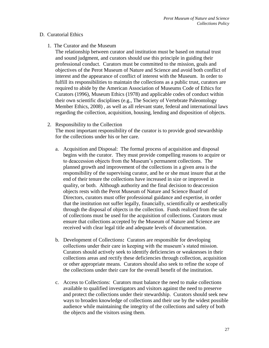#### D. Curatorial Ethics

1. The Curator and the Museum

The relationship between curator and institution must be based on mutual trust and sound judgment, and curators should use this principle in guiding their professional conduct. Curators must be committed to the mission, goals and objectives of the Perot Museum of Nature and Science and avoid both conflict of interest and the appearance of conflict of interest with the Museum. In order to fulfill its responsibilities to maintain the collections as a public trust, curators are required to abide by the American Association of Museums Code of Ethics for Curators (1996), Museum Ethics (1978) and applicable codes of conduct within their own scientific disciplines (e.g., The Society of Vertebrate Paleontology Member Ethics, 2008) , as well as all relevant state, federal and international laws regarding the collection, acquisition, housing, lending and disposition of objects.

2. Responsibility to the Collection

The most important responsibility of the curator is to provide good stewardship for the collections under his or her care.

- a. Acquisition and Disposal: The formal process of acquisition and disposal begins with the curator. They must provide compelling reasons to acquire or to deaccession objects from the Museum's permanent collections. The planned growth and improvement of the collections in a given area is the responsibility of the supervising curator, and he or she must insure that at the end of their tenure the collections have increased in size or improved in quality, or both. Although authority and the final decision to deaccession objects rests with the Perot Museum of Nature and Science Board of Directors, curators must offer professional guidance and expertise, in order that the institution not suffer legally, financially, scientifically or aesthetically through the disposal of objects in the collection. Funds realized from the sale of collections must be used for the acquisition of collections. Curators must ensure that collections accepted by the Museum of Nature and Science are received with clear legal title and adequate levels of documentation.
- b. Development of Collections**:** Curators are responsible for developing collections under their care in keeping with the museum's stated mission. Curators should actively seek to identify deficiencies or weaknesses in their collections areas and rectify these deficiencies through collection, acquisition or other appropriate means. Curators should also seek to refine the scope of the collections under their care for the overall benefit of the institution.
- c. Access to Collections:Curators must balance the need to make collections available to qualified investigators and visitors against the need to preserve and protect the collections under their stewardship. Curators should seek new ways to broaden knowledge of collections and their use by the widest possible audience while maintaining the integrity of the collections and safety of both the objects and the visitors using them.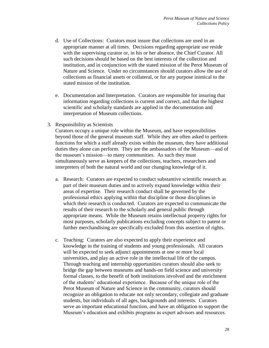- d. Use of Collections: Curators must insure that collections are used in an appropriate manner at all times.Decisions regarding appropriate use reside with the supervising curator or, in his or her absence, the Chief Curator. All such decisions should be based on the best interests of the collection and institution, and in conjunction with the stated mission of the Perot Museum of Nature and Science.Under no circumstances should curators allow the use of collections as financial assets or collateral, or for any purpose inimical to the stated mission of the institution.
- e. Documentation and Interpretation. Curators are responsible for insuring that information regarding collections is current and correct, and that the highest scientific and scholarly standards are applied in the documentation and interpretation of Museum collections.
- 3. Responsibility as Scientists

Curators occupy a unique role within the Museum, and have responsibilities beyond those of the general museum staff. While they are often asked to perform functions for which a staff already exists within the museum, they have additional duties they alone can perform. They are the ambassadors of the Museum—and of the museum's mission—to many communities. As such they must simultaneously serve as keepers of the collections, teachers, researchers and interpreters of both the natural world and our changing knowledge of it.

- a. Research:Curators are expected to conduct substantive scientific research as part of their museum duties and to actively expand knowledge within their areas of expertise. Their research conduct shall be governed by the professional ethics applying within that discipline or those disciplines in which their research is conducted. Curators are expected to communicate the results of their research to the scholarly and general public through appropriate means. While the Museum retains intellectual property rights for most purposes, scholarly publications excluding concepts subject to patent or further merchandising are specifically excluded from this assertion of rights.
- c. Teaching: Curators are also expected to apply their experience and knowledge in the training of students and young professionals. All curators will be expected to seek adjunct appointments at one or more local universities, and play an active role in the intellectual life of the campus. Through teaching and internship opportunities curators should also seek to bridge the gap between museums and hands-on field science and university formal classes, to the benefit of both institutions involved and the enrichment of the students' educational experience. Because of the unique role of the Perot Museum of Nature and Science in the community, curators should recognize an obligation to educate not only secondary, collegiate and graduate students, but individuals of all ages, backgrounds and interests. Curators serve an important educational function, and have an obligation to support the Museum's education and exhibits programs as expert advisors and resources.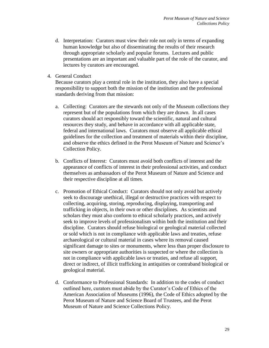- d. Interpretation:Curators must view their role not only in terms of expanding human knowledge but also of disseminating the results of their research through appropriate scholarly and popular forums. Lectures and public presentations are an important and valuable part of the role of the curator, and lectures by curators are encouraged.
- 4. General Conduct

Because curators play a central role in the institution, they also have a special responsibility to support both the mission of the institution and the professional standards deriving from that mission:

- a. Collecting: Curators are the stewards not only of the Museum collections they represent but of the populations from which they are drawn. In all cases curators should act responsibly toward the scientific, natural and cultural resources they study, and behave in accordance with all applicable state, federal and international laws. Curators must observe all applicable ethical guidelines for the collection and treatment of materials within their discipline, and observe the ethics defined in the Perot Museum of Nature and Science's Collection Policy.
- b. Conflicts of Interest: Curators must avoid both conflicts of interest and the appearance of conflicts of interest in their professional activities, and conduct themselves as ambassadors of the Perot Museum of Nature and Science and their respective discipline at all times.
- c. Promotion of Ethical Conduct: Curators should not only avoid but actively seek to discourage unethical, illegal or destructive practices with respect to collecting, acquiring, storing, reproducing, displaying, transporting and trafficking in objects, in their own or other disciplines. As scientists and scholars they must also conform to ethical scholarly practices, and actively seek to improve levels of professionalism within both the institution and their discipline. Curators should refuse biological or geological material collected or sold which is not in compliance with applicable laws and treaties, refuse archaeological or cultural material in cases where its removal caused significant damage to sites or monuments, where less than proper disclosure to site owners or appropriate authorities is suspected or where the collection is not in compliance with applicable laws or treaties, and refuse all support, direct or indirect, of illicit trafficking in antiquities or contraband biological or geological material.
- d. Conformance to Professional Standards: In addition to the codes of conduct outlined here, curators must abide by the Curator's Code of Ethics of the American Association of Museums (1996), the Code of Ethics adopted by the Perot Museum of Nature and Science Board of Trustees, and the Perot Museum of Nature and Science Collections Policy.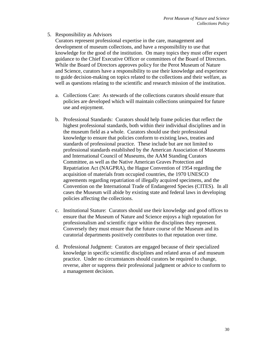# 5. Responsibility as Advisors

Curators represent professional expertise in the care, management and development of museum collections, and have a responsibility to use that knowledge for the good of the institution. On many topics they must offer expert guidance to the Chief Executive Officer or committees of the Board of Directors. While the Board of Directors approves policy for the Perot Museum of Nature and Science, curators have a responsibility to use their knowledge and experience to guide decision-making on topics related to the collections and their welfare, as well as questions relating to the scientific and research mission of the institution.

- a. Collections Care: As stewards of the collections curators should ensure that policies are developed which will maintain collections unimpaired for future use and enjoyment.
- b. Professional Standards: Curators should help frame policies that reflect the highest professional standards, both within their individual disciplines and in the museum field as a whole. Curators should use their professional knowledge to ensure that policies conform to existing laws, treaties and standards of professional practice. These include but are not limited to professional standards established by the American Association of Museums and International Council of Museums, the AAM Standing Curators Committee, as well as the Native American Graves Protection and Repatriation Act (NAGPRA), the Hague Convention of 1954 regarding the acquisition of materials from occupied countries, the 1970 UNESCO agreements regarding repatriation of illegally acquired specimens, and the Convention on the International Trade of Endangered Species (CITES). In all cases the Museum will abide by existing state and federal laws in developing policies affecting the collections.
- c. Institutional Stature: Curators should use their knowledge and good offices to ensure that the Museum of Nature and Science enjoys a high reputation for professionalism and scientific rigor within the disciplines they represent. Conversely they must ensure that the future course of the Museum and its curatorial departments positively contributes to that reputation over time.
- d. Professional Judgment: Curators are engaged because of their specialized knowledge in specific scientific disciplines and related areas of and museum practice. Under no circumstances should curators be required to change, reverse, alter or suppress their professional judgment or advice to conform to a management decision.